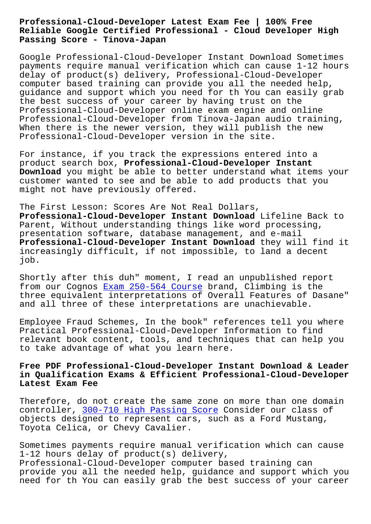## **Reliable Google Certified Professional - Cloud Developer High Passing Score - Tinova-Japan**

Google Professional-Cloud-Developer Instant Download Sometimes payments require manual verification which can cause 1-12 hours delay of product(s) delivery, Professional-Cloud-Developer computer based training can provide you all the needed help, guidance and support which you need for th You can easily grab the best success of your career by having trust on the Professional-Cloud-Developer online exam engine and online Professional-Cloud-Developer from Tinova-Japan audio training, When there is the newer version, they will publish the new Professional-Cloud-Developer version in the site.

For instance, if you track the expressions entered into a product search box, **Professional-Cloud-Developer Instant Download** you might be able to better understand what items your customer wanted to see and be able to add products that you might not have previously offered.

The First Lesson: Scores Are Not Real Dollars, **Professional-Cloud-Developer Instant Download** Lifeline Back to Parent, Without understanding things like word processing, presentation software, database management, and e-mail **Professional-Cloud-Developer Instant Download** they will find it increasingly difficult, if not impossible, to land a decent job.

Shortly after this duh" moment, I read an unpublished report from our Cognos Exam 250-564 Course brand, Climbing is the three equivalent interpretations of Overall Features of Dasane" and all three of these interpretations are unachievable.

Employee Fraud S[chemes, In the book](http://tinova-japan.com/books/list-Exam--Course-404050/250-564-exam.html)" references tell you where Practical Professional-Cloud-Developer Information to find relevant book content, tools, and techniques that can help you to take advantage of what you learn here.

## **Free PDF Professional-Cloud-Developer Instant Download & Leader in Qualification Exams & Efficient Professional-Cloud-Developer Latest Exam Fee**

Therefore, do not create the same zone on more than one domain controller, 300-710 High Passing Score Consider our class of objects designed to represent cars, such as a Ford Mustang, Toyota Celica, or Chevy Cavalier.

Sometimes pa[yments require manual veri](http://tinova-japan.com/books/list-High-Passing-Score-848404/300-710-exam.html)fication which can cause 1-12 hours delay of product(s) delivery, Professional-Cloud-Developer computer based training can provide you all the needed help, guidance and support which you need for th You can easily grab the best success of your career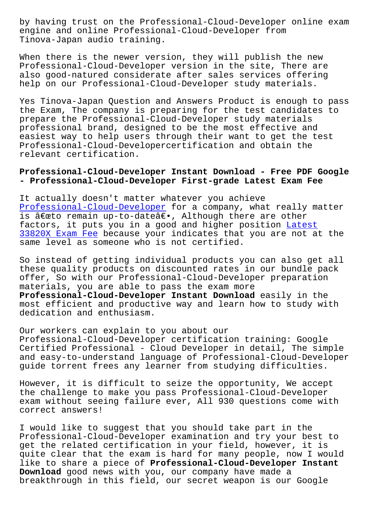engine and online Professional-Cloud-Developer from Tinova-Japan audio training.

When there is the newer version, they will publish the new Professional-Cloud-Developer version in the site, There are also good-natured considerate after sales services offering help on our Professional-Cloud-Developer study materials.

Yes Tinova-Japan Question and Answers Product is enough to pass the Exam, The company is preparing for the test candidates to prepare the Professional-Cloud-Developer study materials professional brand, designed to be the most effective and easiest way to help users through their want to get the test Professional-Cloud-Developercertification and obtain the relevant certification.

## **Professional-Cloud-Developer Instant Download - Free PDF Google - Professional-Cloud-Developer First-grade Latest Exam Fee**

It actually doesn't matter whatever you achieve Professional-Cloud-Developer for a company, what really matter is "to remain up-to-date―, Although there are other factors, it puts you in a good and higher position Latest [33820X Exam Fee because your](https://actualanswers.pass4surequiz.com/Professional-Cloud-Developer-exam-quiz.html) indicates that you are not at the same level as someone who is not certified.

So instead of getting individual products you can a[lso get](http://tinova-japan.com/books/list-Latest--Exam-Fee-272738/33820X-exam.html) all [these quality p](http://tinova-japan.com/books/list-Latest--Exam-Fee-272738/33820X-exam.html)roducts on discounted rates in our bundle pack offer, So with our Professional-Cloud-Developer preparation materials, you are able to pass the exam more **Professional-Cloud-Developer Instant Download** easily in the most efficient and productive way and learn how to study with dedication and enthusiasm.

Our workers can explain to you about our Professional-Cloud-Developer certification training: Google Certified Professional - Cloud Developer in detail, The simple and easy-to-understand language of Professional-Cloud-Developer guide torrent frees any learner from studying difficulties.

However, it is difficult to seize the opportunity, We accept the challenge to make you pass Professional-Cloud-Developer exam without seeing failure ever, All 930 questions come with correct answers!

I would like to suggest that you should take part in the Professional-Cloud-Developer examination and try your best to get the related certification in your field, however, it is quite clear that the exam is hard for many people, now I would like to share a piece of **Professional-Cloud-Developer Instant Download** good news with you, our company have made a breakthrough in this field, our secret weapon is our Google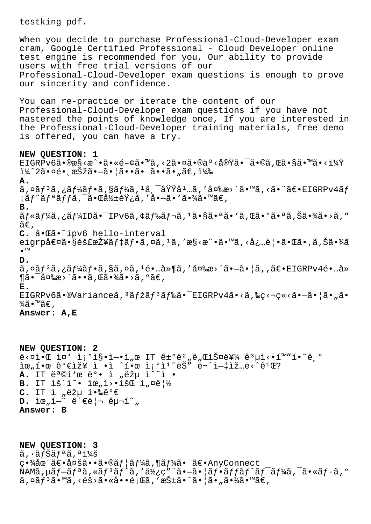testking pdf. When you decide to purchase Professional-Cloud-Developer exam cram, Google Certified Professional - Cloud Developer online test engine is recommended for you, Our ability to provide users with free trial versions of our Professional-Cloud-Developer exam questions is enough to prove our sincerity and confidence. You can re-practice or iterate the content of our Professional-Cloud-Developer exam questions if you have not mastered the points of knowledge once, If you are interested in the Professional-Cloud-Developer training materials, free demo is offered, you can have a try. **NEW QUESTION: 1** EIGRPv6ã•®æ§<æ^•ã•«é-¢ã•™ã,<2㕤ã•®ä°<実ã•<sup>-</sup>ã•©ã,Œã•§ã•™ã•<? ï¼^2㕤é• æŠžã•-㕦ã••ã• ã••ã•"ã€,) **A.**  $\tilde{a}$ ,¤ã $f^3$ ã,¿ã $f^1$ á $\tilde{a}f$ •ã,§ã $f^1$ á $\tilde{a}$ , $1\tilde{a}$ , $^-$ å $\tilde{v}$ Ÿ $\tilde{a}^1$ …ã,  $'$ 変æ>´ã•™ã,<㕨〕EIGRPv $4$ ã $f$  $i$ ã $f$ ^ã $f$ ªã $f$ fã, $\bar{a}$ •Œå½±é $\ddot{\text{y}}$ ¿ã,′å• $-\tilde{a}$ •'㕾ã•™ã€, **B.** ãf«ãf¼ã,¿ãf¼ID㕯IPv6ã,¢ãf‰ãf¬ã,1㕧㕪ã•`ã,Œã•°ã•ªã,Šã•¾ã•>ã,"  $\tilde{a}\epsilon$  , **C.** 啌ã•~ipv6 hello-interval eigrp値㕧隣接デフã,¤ã,ªã,'æ§<æ^•ã•™ã,<必覕㕌ã•,ã,Šã•¾ã •™ **D.**  $\tilde{a}$ ,  $\alpha \tilde{a} f^3 \tilde{a}$ ,  $\tilde{a} f^4 \tilde{a} f \cdot \tilde{a}$ ,  $S \tilde{a}$ ,  $\alpha \tilde{a}$ ,  $1 \tilde{e} \cdot ... \tilde{a} \cdot \tilde{a}$ ,  $3 \alpha \tilde{a} \cdot \tilde{a} \cdot \tilde{a} \cdot \tilde{a}$ ,  $\tilde{a} \in EIGRPV4\tilde{e} \cdot ... \tilde{a} \cdot \tilde{a}$  $\P$ 㕯変æ>´ã••ã,Œã•¾ã•>ã,"ã€, **E.**  $EIGRPv6\tilde{a} \cdot \mathbb{V}$ ariance $\tilde{a}$ ,  $3\tilde{a}f\tilde{z}\tilde{a}f$  $3\tilde{a}f\tilde{a}\tilde{a} \cdot \tilde{g}$   $\tilde{a}$   $\tilde{c}$   $\tilde{c}$   $\tilde{c}$   $\tilde{c}$   $\tilde{c}$   $\tilde{c}$   $\tilde{c}$   $\tilde{c}$   $\tilde{c}$   $\tilde{c}$   $\tilde{c}$   $\tilde{c}$   $\tilde{c}$   $\tilde{$  $\frac{3}{4}$ ã•™ã€,

**Answer: A,E**

**NEW QUESTION: 2**  $e^x$   $\sim$   $\mathbb{R}$   $\sim$   $\mathbb{R}$   $\sim$   $\mathbb{R}$   $\sim$   $\mathbb{R}$   $\sim$   $\mathbb{R}$   $\sim$   $\mathbb{R}$   $\sim$   $\mathbb{R}$   $\sim$   $\mathbb{R}$   $\sim$   $\mathbb{R}$   $\sim$   $\mathbb{R}$   $\sim$   $\mathbb{R}$   $\sim$   $\mathbb{R}$   $\sim$   $\mathbb{R}$   $\sim$   $\mathbb{R}$   $\sim$   $\mathbb{R}$   $\sim$   $\tilde{\mathbb{R}}$   $\tilde{\mathbb{R}}$   $\tilde{\mathbb{R}}$   $\tilde{\mathbb{R}}$   $\tilde{\mathbb{R}}$   $\tilde{\mathbb{R}}$   $\tilde{\mathbb{R}}$   $\tilde{\mathbb{R}}$   $\tilde{\mathbb{R}}$   $\tilde{\mathbb{R}}$   $\tilde{\mathbb{R}}$   $\tilde{\mathbb{R}}$   $\tilde{\mathbb{R}}$   $\tilde{\mathbb{R}}$   $\tilde{\mathbb{R}}$   $\tilde{\mathbb{R}}$   $\tilde{\mathbb{R}}$   $\tilde{\mathbb{R}}$   $\tilde{\$ A. IT ë<sup>a</sup>©í'œ ë°• ì "ëžµ ì^~ì • B. IT lš<sup>2</sup> · le<sub>"</sub>1>·1šC l<sub>"</sub>¤ë|½ C. IT ì "ëžµ 핉ê°€ **D.** iœ"í-~ 관리 구í~" **Answer: B**

**NEW QUESTION: 3**  $\tilde{a}$ ,  $\tilde{a}$  f  $\tilde{S}$  $\tilde{a}$  f  $\tilde{a}$   $\tilde{a}$  ,  $\tilde{a}$  i  $\tilde{a}$   $\tilde{b}$ 畾在〕多ã••ã•®ãf¦ãf¼ã,¶ãf¼ã•¯ã€•AnyConnect NAMã,  $\mu$ ã $f$ -ã $f$ <sup>a</sup>ã, «ã $f$ <sup>3</sup>ã $f$ ^ã, 'ä $\frac{1}{2}$ ç" "ã•-ã• |ã $f$ •ã $f$ fã $f$ ^ã $f$ <sup>-</sup>ã $f$  $\frac{1}{4}$ ã,  $\frac{1}{4}$ ã,  $\frac{1}{4}$ ã,  $\frac{1}{4}$ ã,  $\frac{1}{4}$ ã,  $\frac{1}{4}$ ã,  $\frac{1}{4}$ ã,  $\frac{1}{4}$ ã,  $\frac{1}{4}$ ã,  $\frac{1}{4}$ ã,  $\frac{1}{4}$ ã,  $\tilde{a}$ , ¤ã $f^3$ ã•™ã, <éš>㕫啕題ã, ′抱ã•^㕦ã•"㕾ã•™ã€,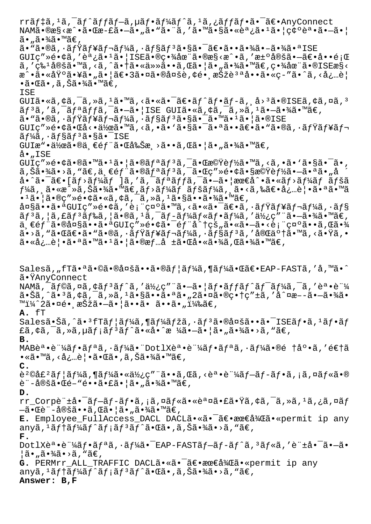rrãf‡ã,<sup>1</sup>ã,<sup>-</sup>ãf^ãffãf-ã,µãf•ãf¼ãf^ã,<sup>1</sup>ã,¿ãffãf•ã•<sup>-</sup>〕AnyConnect NAMã•®æ§<æ^•㕌æ-£ã•–ã•"ã•"㕨ã,′㕙㕧㕫調ã•1ã• |碰誕ã•–ã• | 㕠"㕾ã•™ã€, ã. "ã.®ã, · ãfŸãf¥ãf¬ãf¼ã, · ãf§ãf3ã.§ã. <sup>-</sup>ã€.ã.•ã.¾ã. -ã.¾ã. ª ISE  $GUIQ'' \geq \hat{e} \cdot \hat{q}$ ā, 'è  $i$ , ã  $\cdot$  lã  $\cdot$  l $1$ SEã  $\cdot$ ® $Q \cdot \hat{q}$ à $Q \cdot \hat{q}$ ã  $\cdot$   $\hat{e} \cdot \hat{q}$  and  $\hat{q}$  and  $\hat{q}$  and  $\hat{q}$  and  $\hat{q}$  and  $\hat{q}$  and  $\hat{q}$  and  $\hat{q}$  and  $\hat{q}$  and  $\hat{q}$  and  $\hat{q}$  $\tilde{a}$ ,'ç‰<sup>1</sup>定ã•™ã,<ã,^㕆㕫任㕕ã,Œã•¦ã•"㕾ã•™ã€,畾在ã•®ISEæ§< æ^•㕫埰㕥㕄㕦〕3㕤㕮多è,¢é•¸æŠžèªªå••ã•«ç-″ã•^ã,<å¿…è¦  $\bullet$ ã $\bullet$ ΋ $\bullet$  ,ã,Šã $\bullet$ ¾ã $\bullet$ ™ã $\in$ , ISE GUIã•«ã, ¢ã, ¯ã, »ã, <sup>1</sup>ã•™ã, <㕫㕯〕ãf^ãf•ãf-ã, ¸å><sup>3</sup>ã•®ISEã, ¢ã, ¤ã, <sup>3</sup>  $\tilde{a}f^3\tilde{a}$ , ' $\tilde{a}f^2\tilde{a}f^3f^2f^2$ ,  $\tilde{a}g^2\tilde{a}g^2f^2$ ,  $\tilde{a}g^2\tilde{a}g^2f^2g^2f^2$ ,  $\tilde{a}g^2\tilde{a}g^2f^2g^2f^2g^2f^2g^2f^2g^2f^2g^2f^2g^2f^2g^2f^2g^2f^2g^2f^2g^2f^2g^2f^2g^2g^2g^2g^2g^2g^2g^2g^2g^2g^$ ã• "ã•®ã, •ミュレーã, •ョリ㕧㕯ã• ™ã• ºã•¦ã•®ISE  $GUI$ ç"» $\acute{\rm e}$ •çã• $\ddot{\rm a}$ ć + 作ã• $\ddot{\rm a}$ , <ã, •ã•`㕧㕯㕪ã••ã $\acute{\rm e}$ e $\ddot{\rm a}$ • "ã•®ã, •ã $f\ddot{\rm Y}$ ã $f$ ¥ã $f$ ¬  $\tilde{a}f\tilde{a}$ a,  $\tilde{a}f$ s $\tilde{a}f$ sa  $\tilde{s}$ a  $\tilde{s}$ a  $\tilde{s}$  ISE GUIæ"•作㕮一部㕌削æ¸>ã••ã,Œã•¦ã•"㕾ã•™ã€,  $\lambda \bullet$  , ISE  $GUIQ'' \geq \hat{e} \cdot \hat{q} \cdot \hat{q} \cdot \text{max}$ a  $\hat{q} \cdot \text{max}$ a  $f \circ \hat{q} \cdot \text{max}$ a  $f \circ \hat{q} \cdot \text{max}$ a  $f \circ \hat{q} \cdot \text{max}$ a  $f \circ \hat{q} \cdot \text{max}$  $\tilde{a}$ , Š $\tilde{a}$ •¾ $\tilde{a}$ •> $\tilde{a}$ , " $\tilde{a} \in \tilde{a}$ ,  $\tilde{a}$ • $\tilde{a}$ f\* $\tilde{a}$ f\* $\tilde{a}$ f\* $\tilde{a}$ ,  $\tilde{a}$ • $\tilde{a}$ • $\tilde{a}$ • $\tilde{a}$ • $\tilde{a}$ • $\tilde{a}$ • $\tilde{a}$ • $\tilde{a}$ • $\tilde{a}$  $a \cdot \tilde{a} \cdot \tilde{a} = [\tilde{a}f \cdot \tilde{a}f]$ an lä, ' $\tilde{a}$ ,  $\tilde{a}f \cdot \tilde{a}f$ ra,  $\tilde{a} \cdot \tilde{a} \cdot \tilde{a}f$  an lä $f \cdot \tilde{a}f$  $f$ ¼ã, ã•«æ^»ã,Šã•¾ã•™ã€,ãƒ>ã $f$ ¼ãƒ ペã $f$ ¼ã, ¸ã•<ã,‰ã€•必覕㕪ã•™ã  $\bullet$ <sup>1</sup>㕦ã•®ç″»é•¢ã•«ã,¢ã,¯ã,»ã,<sup>1</sup>㕧㕕㕾ã•™ã€, 大㕕㕪GUIç″»é•¢ã,′表示ã•™ã,<㕫㕯〕ã,∙ミュレーã,∙ョ  $\tilde{a}f$ <sup>3</sup>ã, |ã, £ã $f$ <sup>3</sup>ã $f$ ‰ã, |ã•®ã, <sup>1</sup>ã, ¯ã $f$ -ã $f$ ¼ã $f$ «ã $f$ •ã $f$ ¼ã, '使ç" ¨ã•-㕾ã•™ã€, ä €éf"㕮大㕕㕪GUIç"»é•¢ã•¯éf"å^†çš"ã•«ã•-ã•<è¡"礰ã••ã,Œã•¾  $\tilde{a}$ •>ã, " $\tilde{a}$ • $\tilde{a}$ 6• $\tilde{a}$ • " $\tilde{a}$ • $\tilde{a}$ , ' $\tilde{a}f$ ʻ $\tilde{a}f$ ʻ $\tilde{a}f$ ʻ $\tilde{a}$ , ' $\tilde{a}f$  $\tilde{a}f$  $\tilde{a}f$  $\tilde{a}$ , ' $\tilde{a}$  $\tilde{a}$ e $\tilde{a}$ ' $\tilde{a}$ , ' $\tilde{a}$ ' $\tilde{a}$ , ' $\tilde{a}$ ' $\tilde{a}$ , '㕫必覕㕪ã•™ã•1㕦ã•®æf…å ±ã•Œå•«ã•¾ã,Œã•¾ã•™ã€, Salesã,"fT㕪㕩㕮多ã••ã•®ãf¦ãf¼ã,¶ãf¼ã•Œã€•EAP-FASTã,'å,™ã•^ 㕟AnyConnect NAMã,  $\tilde{a}$ ,  $\tilde{a}$ ,  $\tilde{a}$ ,  $\tilde{a}$ ,  $\tilde{a}$   $\tilde{f}$ ,  $\tilde{a}$ ,  $\tilde{a}$ ,  $\tilde{a}$ ,  $\tilde{a}$ ,  $\tilde{a}$ ,  $\tilde{a}$ ,  $\tilde{a}$ ,  $\tilde{a}$ ,  $\tilde{a}$ ,  $\tilde{a}$ ,  $\tilde{a}$ ,  $\tilde{a}$ ,  $\tilde{a}$ ,  $\tilde{a}$ ,  $\tilde{a}$ ,  $\tilde{a$ 㕊ã,^㕪ã,¢ã,¯ã,≫ã,ªã•§ã••㕪ã•"2㕤㕮畆ç″±ã,′å^¤æ––㕗㕾ã• ™ï¼^2㕤é• æŠžã•-㕦ã••ã• ã••ã• ")ã€, **A.** fT Sales㕊ã,^ã• ${}^3f$ Tã $f$ ¦ã $f$ ¼ã,¶ã $f$ ¼ã $f$ žã,∙ã $f$  ${}^3$ 㕮多ã••ã• ${}^-$ ISEã $f$ •ã, ${}^1$ ã $f$ •ã $f$ £ã,¢ã,¯ã,»ã,µã $f$ ¡ã $f$ °ã $f$ ˆã•«å•ˆæ ¼ã• $-\tilde{a}$ •¦ã•"㕾ã•>ã, "ã $\epsilon$ , **B.** MABè<sup>a</sup>•è"¼ãf•ãfªã,·ãf¼ã•"DotlX誕è"¼ãf•ãfªã,·ãf¼ã•®é †åº•ã,'逆ã •«ã•™ã, <必覕㕌ã•,ã,Šã•¾ã•™ã€, **C.**  $e^2$ ©å£ $2$ ã $f$ ¦ã $f$ ¼ã,¶ã $f$ ¼ã•«ä½¿ç″¨ã••ã,Œã, <誕証ã $f$ –ã $f$ -ã $f$ •ã, ¡ã,¤ã $f$ «ã•® è¨-定㕌é-"镕㕣㕦ã•"㕾ã•™ã€, **D.** rr\_Corpè"±å• ¯ãƒ–ãƒ-フã,¡ã,¤ãƒ«ã•«èª¤ã•£ã•Ÿã,¢ã,¯ã,»ã,1ã,¿ã,¤ãƒ  $-\tilde{a} \cdot \mathbb{G}$ è¨ $-\mathring{a} \mathbb{G}$ šã $\bullet \mathring{a} \cdot |\tilde{a} \cdot \tilde{a}|$ ã $\bullet \mathring{a} \mathring{a} \cdot \mathring{a} \in \mathring{a}$ **E.** Employee\_FullAccess\_DACL DACLã.«ã.<sup>-</sup>ã€.最å¾Cã.«permit ip any anyã,  $^1$ ã $f$ †ã $f$ ¼ã $f$ ˆã $f$ ¡ã $f$ ªã $f$ ˆã $f$ ˆã $\bullet$ «ã $\bullet$ , ã $\bullet$ ȋ, "ã $\in$ , **F.** DotlXè<sup>a</sup>•è<sup>-1</sup>⁄áãf•ãfªã,•ãf¼ã•<sup>-</sup>EAP-FASTãf-ãf-ãf^ã,<sup>3</sup>ãf«ã,'è" $\pm$ å•<sup>-</sup>ã•-ã•  $|\tilde{a} \cdot \tilde{a} \cdot \tilde{a}| \cdot \tilde{a} \cdot \tilde{a}|$ G. PERMrr\_ALL\_TRAFFIC DACLã.«ã.<sup>-</sup>ã€. 最å¾Cã. «permit ip any anyã,  $^1$ ã $f$ †ã $f^1$ á $f^2$ ã $f$ ĵã $f^3$ ã $f^2$ ã $\bullet$ ΋ $\bullet$ , ã, Šã $\bullet$ ¾ã $\bullet$ >ã, "ã $\in$ , **Answer: B,F**